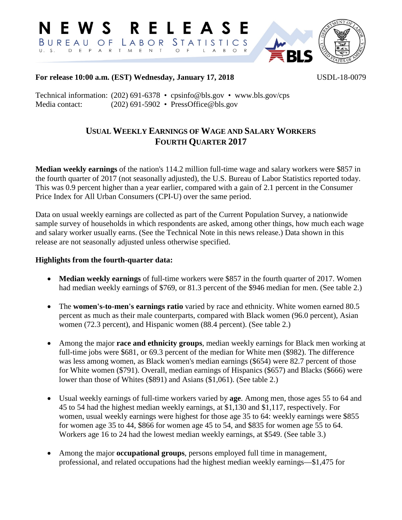

**For release 10:00 a.m. (EST) Wednesday, January 17, 2018** USDL-18-0079

Technical information: (202) 691-6378 • cpsinfo@bls.gov • www.bls.gov/cps Media contact: (202) 691-5902 • PressOffice@bls.gov

# **USUAL WEEKLY EARNINGS OF WAGE AND SALARY WORKERS FOURTH QUARTER 2017**

**Median weekly earnings** of the nation's 114.2 million full-time wage and salary workers were \$857 in the fourth quarter of 2017 (not seasonally adjusted), the U.S. Bureau of Labor Statistics reported today. This was 0.9 percent higher than a year earlier, compared with a gain of 2.1 percent in the Consumer Price Index for All Urban Consumers (CPI-U) over the same period.

Data on usual weekly earnings are collected as part of the Current Population Survey, a nationwide sample survey of households in which respondents are asked, among other things, how much each wage and salary worker usually earns. (See the Technical Note in this news release.) Data shown in this release are not seasonally adjusted unless otherwise specified.

## **Highlights from the fourth-quarter data:**

- **Median weekly earnings** of full-time workers were \$857 in the fourth quarter of 2017. Women had median weekly earnings of \$769, or 81.3 percent of the \$946 median for men. (See table 2.)
- The **women's-to-men's earnings ratio** varied by race and ethnicity. White women earned 80.5 percent as much as their male counterparts, compared with Black women (96.0 percent), Asian women (72.3 percent), and Hispanic women (88.4 percent). (See table 2.)
- Among the major **race and ethnicity groups**, median weekly earnings for Black men working at full-time jobs were \$681, or 69.3 percent of the median for White men (\$982). The difference was less among women, as Black women's median earnings (\$654) were 82.7 percent of those for White women (\$791). Overall, median earnings of Hispanics (\$657) and Blacks (\$666) were lower than those of Whites (\$891) and Asians (\$1,061). (See table 2.)
- Usual weekly earnings of full-time workers varied by **age**. Among men, those ages 55 to 64 and 45 to 54 had the highest median weekly earnings, at \$1,130 and \$1,117, respectively. For women, usual weekly earnings were highest for those age 35 to 64: weekly earnings were \$855 for women age 35 to 44, \$866 for women age 45 to 54, and \$835 for women age 55 to 64. Workers age 16 to 24 had the lowest median weekly earnings, at \$549. (See table 3.)
- Among the major **occupational groups**, persons employed full time in management, professional, and related occupations had the highest median weekly earnings—\$1,475 for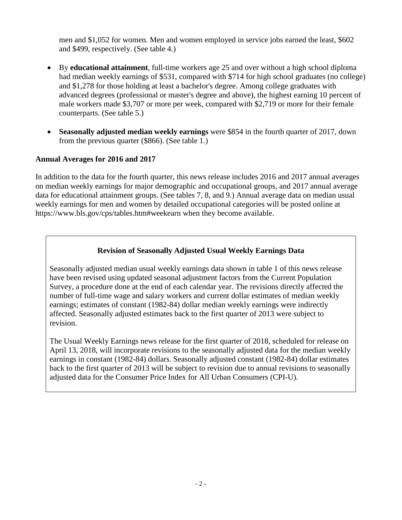men and \$1,052 for women. Men and women employed in service jobs earned the least, \$602 and \$499, respectively. (See table 4.)

- By **educational attainment**, full-time workers age 25 and over without a high school diploma had median weekly earnings of \$531, compared with \$714 for high school graduates (no college) and \$1,278 for those holding at least a bachelor's degree. Among college graduates with advanced degrees (professional or master's degree and above), the highest earning 10 percent of male workers made \$3,707 or more per week, compared with \$2,719 or more for their female counterparts. (See table 5.)
- **Seasonally adjusted median weekly earnings** were \$854 in the fourth quarter of 2017, down from the previous quarter (\$866). (See table 1.)

## **Annual Averages for 2016 and 2017**

In addition to the data for the fourth quarter, this news release includes 2016 and 2017 annual averages on median weekly earnings for major demographic and occupational groups, and 2017 annual average data for educational attainment groups. (See tables 7, 8, and 9.) Annual average data on median usual weekly earnings for men and women by detailed occupational categories will be posted online at https://www.bls.gov/cps/tables.htm#weekearn when they become available.

## **Revision of Seasonally Adjusted Usual Weekly Earnings Data**

Seasonally adjusted median usual weekly earnings data shown in table 1 of this news release have been revised using updated seasonal adjustment factors from the Current Population Survey, a procedure done at the end of each calendar year. The revisions directly affected the number of full-time wage and salary workers and current dollar estimates of median weekly earnings; estimates of constant (1982-84) dollar median weekly earnings were indirectly affected. Seasonally adjusted estimates back to the first quarter of 2013 were subject to revision.

The Usual Weekly Earnings news release for the first quarter of 2018, scheduled for release on April 13, 2018, will incorporate revisions to the seasonally adjusted data for the median weekly earnings in constant (1982-84) dollars. Seasonally adjusted constant (1982-84) dollar estimates back to the first quarter of 2013 will be subject to revision due to annual revisions to seasonally adjusted data for the Consumer Price Index for All Urban Consumers (CPI-U).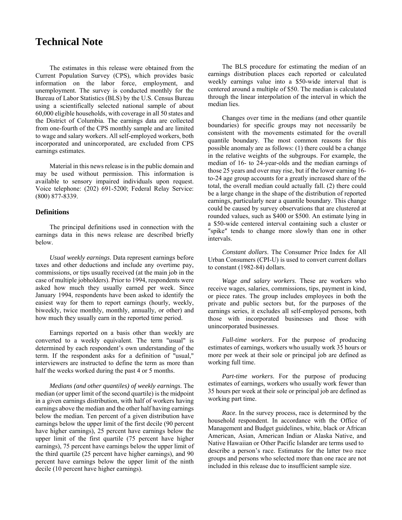# **Technical Note**

The estimates in this release were obtained from the Current Population Survey (CPS), which provides basic information on the labor force, employment, and unemployment. The survey is conducted monthly for the Bureau of Labor Statistics (BLS) by the U.S. Census Bureau using a scientifically selected national sample of about 60,000 eligible households, with coverage in all 50 states and the District of Columbia. The earnings data are collected from one-fourth of the CPS monthly sample and are limited to wage and salary workers. All self-employed workers, both incorporated and unincorporated, are excluded from CPS earnings estimates.

Material in this news release is in the public domain and may be used without permission. This information is available to sensory impaired individuals upon request. Voice telephone: (202) 691-5200; Federal Relay Service: (800) 877-8339.

#### **Definitions**

The principal definitions used in connection with the earnings data in this news release are described briefly below.

*Usual weekly earnings*. Data represent earnings before taxes and other deductions and include any overtime pay, commissions, or tips usually received (at the main job in the case of multiple jobholders). Prior to 1994, respondents were asked how much they usually earned per week. Since January 1994, respondents have been asked to identify the easiest way for them to report earnings (hourly, weekly, biweekly, twice monthly, monthly, annually, or other) and how much they usually earn in the reported time period.

Earnings reported on a basis other than weekly are converted to a weekly equivalent. The term "usual" is determined by each respondent's own understanding of the term. If the respondent asks for a definition of "usual," interviewers are instructed to define the term as more than half the weeks worked during the past 4 or 5 months.

*Medians (and other quantiles) of weekly earnings*. The median (or upper limit of the second quartile) is the midpoint in a given earnings distribution, with half of workers having earnings above the median and the other half having earnings below the median. Ten percent of a given distribution have earnings below the upper limit of the first decile (90 percent have higher earnings), 25 percent have earnings below the upper limit of the first quartile (75 percent have higher earnings), 75 percent have earnings below the upper limit of the third quartile (25 percent have higher earnings), and 90 percent have earnings below the upper limit of the ninth decile (10 percent have higher earnings).

The BLS procedure for estimating the median of an earnings distribution places each reported or calculated weekly earnings value into a \$50-wide interval that is centered around a multiple of \$50. The median is calculated through the linear interpolation of the interval in which the median lies.

Changes over time in the medians (and other quantile boundaries) for specific groups may not necessarily be consistent with the movements estimated for the overall quantile boundary. The most common reasons for this possible anomaly are as follows: (1) there could be a change in the relative weights of the subgroups. For example, the median of 16- to 24-year-olds and the median earnings of those 25 years and over may rise, but if the lower earning 16 to-24 age group accounts for a greatly increased share of the total, the overall median could actually fall. (2) there could be a large change in the shape of the distribution of reported earnings, particularly near a quantile boundary. This change could be caused by survey observations that are clustered at rounded values, such as \$400 or \$500. An estimate lying in a \$50-wide centered interval containing such a cluster or ″spike″ tends to change more slowly than one in other intervals.

*Constant dollars*. The Consumer Price Index for All Urban Consumers (CPI-U) is used to convert current dollars to constant (1982-84) dollars.

*Wage and salary workers*. These are workers who receive wages, salaries, commissions, tips, payment in kind, or piece rates. The group includes employees in both the private and public sectors but, for the purposes of the earnings series, it excludes all self-employed persons, both those with incorporated businesses and those with unincorporated businesses.

*Full-time workers*. For the purpose of producing estimates of earnings, workers who usually work 35 hours or more per week at their sole or principal job are defined as working full time.

*Part-time workers*. For the purpose of producing estimates of earnings, workers who usually work fewer than 35 hours per week at their sole or principal job are defined as working part time.

*Race.* In the survey process, race is determined by the household respondent. In accordance with the Office of Management and Budget guidelines, white, black or African American, Asian, American Indian or Alaska Native, and Native Hawaiian or Other Pacific Islander are terms used to describe a person's race. Estimates for the latter two race groups and persons who selected more than one race are not included in this release due to insufficient sample size.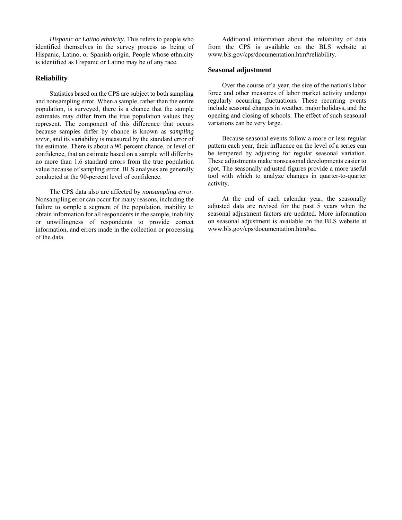*Hispanic or Latino ethnicity*. This refers to people who identified themselves in the survey process as being of Hispanic, Latino, or Spanish origin. People whose ethnicity is identified as Hispanic or Latino may be of any race.

#### **Reliability**

Statistics based on the CPS are subject to both sampling and nonsampling error. When a sample, rather than the entire population, is surveyed, there is a chance that the sample estimates may differ from the true population values they represent. The component of this difference that occurs because samples differ by chance is known as *sampling error*, and its variability is measured by the standard error of the estimate. There is about a 90-percent chance, or level of confidence, that an estimate based on a sample will differ by no more than 1.6 standard errors from the true population value because of sampling error. BLS analyses are generally conducted at the 90-percent level of confidence.

The CPS data also are affected by *nonsampling error*. Nonsampling error can occur for many reasons, including the failure to sample a segment of the population, inability to obtain information for all respondents in the sample, inability or unwillingness of respondents to provide correct information, and errors made in the collection or processing of the data.

Additional information about the reliability of data from the CPS is available on the BLS website at www.bls.gov/cps/documentation.htm#reliability.

#### **Seasonal adjustment**

Over the course of a year, the size of the nation's labor force and other measures of labor market activity undergo regularly occurring fluctuations. These recurring events include seasonal changes in weather, major holidays, and the opening and closing of schools. The effect of such seasonal variations can be very large.

Because seasonal events follow a more or less regular pattern each year, their influence on the level of a series can be tempered by adjusting for regular seasonal variation. These adjustments make nonseasonal developments easier to spot. The seasonally adjusted figures provide a more useful tool with which to analyze changes in quarter-to-quarter activity.

At the end of each calendar year, the seasonally adjusted data are revised for the past 5 years when the seasonal adjustment factors are updated. More information on seasonal adjustment is available on the BLS website at www.bls.gov/cps/documentation.htm#sa.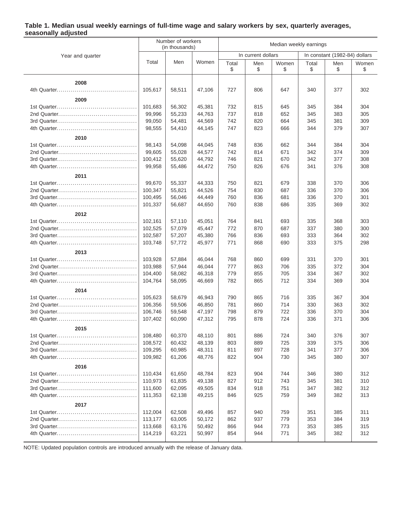### **Table 1. Median usual weekly earnings of full-time wage and salary workers by sex, quarterly averages, seasonally adjusted**

|                  |         | Number of workers<br>(in thousands) |        | Median weekly earnings |                    |             |             |                               |             |
|------------------|---------|-------------------------------------|--------|------------------------|--------------------|-------------|-------------|-------------------------------|-------------|
| Year and quarter |         |                                     |        |                        | In current dollars |             |             | In constant (1982-84) dollars |             |
|                  | Total   | Men                                 | Women  | Total<br>\$            | Men<br>\$          | Women<br>\$ | Total<br>\$ | Men<br>\$                     | Women<br>\$ |
|                  |         |                                     |        |                        |                    |             |             |                               |             |
| 2008             |         |                                     |        |                        |                    |             |             |                               |             |
|                  | 105,617 | 58,511                              | 47,106 | 727                    | 806                | 647         | 340         | 377                           | 302         |
| 2009             |         |                                     |        |                        |                    |             |             |                               |             |
|                  | 101,683 | 56,302                              | 45,381 | 732                    | 815                | 645         | 345         | 384                           | 304         |
|                  | 99,996  | 55,233                              | 44,763 | 737                    | 818                | 652         | 345         | 383                           | 305         |
|                  | 99,050  | 54,481                              | 44,569 | 742                    | 820                | 664         | 345         | 381                           | 309         |
|                  | 98,555  | 54,410                              | 44,145 | 747                    | 823                | 666         | 344         | 379                           | 307         |
| 2010             |         |                                     |        |                        |                    |             |             |                               |             |
|                  | 98,143  | 54,098                              | 44,045 | 748                    | 836                | 662         | 344         | 384                           | 304         |
|                  | 99,605  | 55,028                              | 44,577 | 742                    | 814                | 671         | 342         | 374                           | 309         |
|                  | 100,412 | 55,620                              | 44,792 | 746                    | 821                | 670         | 342         | 377                           | 308         |
|                  | 99,958  | 55,486                              | 44,472 | 750                    | 826                | 676         | 341         | 376                           | 308         |
| 2011             |         |                                     |        |                        |                    |             |             |                               |             |
|                  | 99,670  | 55,337                              | 44,333 | 750                    | 821                | 679         | 338         | 370                           | 306         |
|                  | 100,347 | 55,821                              | 44,526 | 754                    | 830                | 687         | 336         | 370                           | 306         |
|                  | 100,495 | 56,046                              | 44,449 | 760                    | 836                | 681         | 336         | 370                           | 301         |
|                  | 101.337 | 56,687                              | 44,650 | 760                    | 838                | 686         | 335         | 369                           | 302         |
|                  |         |                                     |        |                        |                    |             |             |                               |             |
| 2012             |         |                                     |        |                        |                    |             |             |                               |             |
|                  | 102,161 | 57,110                              | 45,051 | 764                    | 841                | 693         | 335         | 368                           | 303         |
|                  | 102,525 | 57,079                              | 45,447 | 772                    | 870                | 687         | 337         | 380                           | 300         |
|                  | 102,587 | 57,207                              | 45,380 | 766                    | 836                | 693         | 333         | 364                           | 302         |
|                  | 103,748 | 57,772                              | 45,977 | 771                    | 868                | 690         | 333         | 375                           | 298         |
| 2013             |         |                                     |        |                        |                    |             |             |                               |             |
|                  | 103,928 | 57,884                              | 46,044 | 768                    | 860                | 699         | 331         | 370                           | 301         |
|                  | 103,988 | 57,944                              | 46,044 | 777                    | 863                | 706         | 335         | 372                           | 304         |
|                  | 104,400 | 58,082                              | 46,318 | 779                    | 855                | 705         | 334         | 367                           | 302         |
|                  | 104,764 | 58,095                              | 46,669 | 782                    | 865                | 712         | 334         | 369                           | 304         |
| 2014             |         |                                     |        |                        |                    |             |             |                               |             |
|                  | 105,623 | 58,679                              | 46,943 | 790                    | 865                | 716         | 335         | 367                           | 304         |
|                  | 106,356 | 59,506                              | 46,850 | 781                    | 860                | 714         | 330         | 363                           | 302         |
|                  | 106,746 | 59,548                              | 47,197 | 798                    | 879                | 722         | 336         | 370                           | 304         |
|                  | 107,402 | 60,090                              | 47,312 | 795                    | 878                | 724         | 336         | 371                           | 306         |
| 2015             |         |                                     |        |                        |                    |             |             |                               |             |
|                  | 108,480 | 60,370                              | 48,110 | 801                    | 886                | 724         | 340         | 376                           | 307         |
|                  | 108,572 | 60,432                              | 48,139 | 803                    | 889                | 725         | 339         | 375                           | 306         |
|                  | 109,295 | 60,985                              | 48,311 | 811                    | 897                | 728         | 341         | 377                           | 306         |
|                  | 109,982 | 61,206                              | 48,776 | 822                    | 904                | 730         | 345         | 380                           | 307         |
|                  |         |                                     |        |                        |                    |             |             |                               |             |
| 2016             |         |                                     |        |                        |                    |             |             |                               |             |
|                  | 110,434 | 61,650                              | 48,784 | 823                    | 904                | 744         | 346         | 380                           | 312         |
|                  | 110,973 | 61,835                              | 49,138 | 827                    | 912                | 743         | 345         | 381                           | 310         |
|                  | 111,600 | 62,095                              | 49,505 | 834                    | 918                | 751         | 347         | 382                           | 312         |
|                  | 111,353 | 62,138                              | 49,215 | 846                    | 925                | 759         | 349         | 382                           | 313         |
| 2017             |         |                                     |        |                        |                    |             |             |                               |             |
|                  | 112,004 | 62,508                              | 49,496 | 857                    | 940                | 759         | 351         | 385                           | 311         |
|                  | 113,177 | 63,005                              | 50,172 | 862                    | 937                | 779         | 353         | 384                           | 319         |
|                  | 113,668 | 63,176                              | 50,492 | 866                    | 944                | 773         | 353         | 385                           | 315         |
|                  | 114,219 | 63,221                              | 50,997 | 854                    | 944                | 771         | 345         | 382                           | 312         |

NOTE: Updated population controls are introduced annually with the release of January data.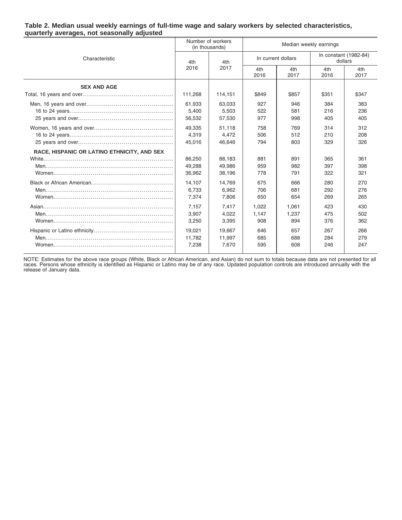#### **Table 2. Median usual weekly earnings of full-time wage and salary workers by selected characteristics, quarterly averages, not seasonally adjusted**

|                                             |         | Number of workers<br>(in thousands) | Median weekly earnings |             |                                                                                                                                                    |             |
|---------------------------------------------|---------|-------------------------------------|------------------------|-------------|----------------------------------------------------------------------------------------------------------------------------------------------------|-------------|
| Characteristic                              | 4th     | 4th                                 | In current dollars     |             | In constant (1982-84)<br>dollars                                                                                                                   |             |
|                                             | 2016    | 2017                                | 4th<br>2016            | 4th<br>2017 | 4th<br>2016<br>\$351<br>384<br>216<br>405<br>314<br>210<br>329<br>365<br>397<br>322<br>280<br>292<br>269<br>423<br>475<br>376<br>267<br>284<br>246 | 4th<br>2017 |
| <b>SEX AND AGE</b>                          |         |                                     |                        |             |                                                                                                                                                    |             |
|                                             | 111,268 | 114,151                             | \$849                  | \$857       |                                                                                                                                                    | \$347       |
|                                             | 61.933  | 63,033                              | 927                    | 946         |                                                                                                                                                    | 383         |
|                                             | 5,400   | 5,503                               | 522                    | 581         |                                                                                                                                                    | 236         |
|                                             | 56,532  | 57,530                              | 977                    | 998         |                                                                                                                                                    | 405         |
|                                             | 49.335  | 51.118                              | 758                    | 769         |                                                                                                                                                    | 312         |
|                                             | 4,319   | 4,472                               | 506                    | 512         |                                                                                                                                                    | 208         |
|                                             | 45,016  | 46,646                              | 794                    | 803         |                                                                                                                                                    | 326         |
| RACE, HISPANIC OR LATINO ETHNICITY, AND SEX |         |                                     |                        |             |                                                                                                                                                    |             |
|                                             | 86,250  | 88.183                              | 881                    | 891         |                                                                                                                                                    | 361         |
|                                             | 49,288  | 49.986                              | 959                    | 982         |                                                                                                                                                    | 398         |
|                                             | 36,962  | 38,196                              | 778                    | 791         |                                                                                                                                                    | 321         |
|                                             | 14.107  | 14,769                              | 675                    | 666         |                                                                                                                                                    | 270         |
|                                             | 6,733   | 6,962                               | 706                    | 681         |                                                                                                                                                    | 276         |
|                                             | 7,374   | 7,806                               | 650                    | 654         |                                                                                                                                                    | 265         |
|                                             | 7,157   | 7,417                               | 1,022                  | 1,061       |                                                                                                                                                    | 430         |
|                                             | 3,907   | 4,022                               | 1,147                  | 1,237       |                                                                                                                                                    | 502         |
|                                             | 3,250   | 3,395                               | 908                    | 894         |                                                                                                                                                    | 362         |
|                                             | 19,021  | 19,667                              | 646                    | 657         |                                                                                                                                                    | 266         |
|                                             | 11,782  | 11,997                              | 685                    | 688         |                                                                                                                                                    | 279         |
|                                             | 7,238   | 7.670                               | 595                    | 608         |                                                                                                                                                    | 247         |
|                                             |         |                                     |                        |             |                                                                                                                                                    |             |

NOTE: Estimates for the above race groups (White, Black or African American, and Asian) do not sum to totals because data are not presented for all<br>races. Persons whose ethnicity is identified as Hispanic or Latino may be release of January data.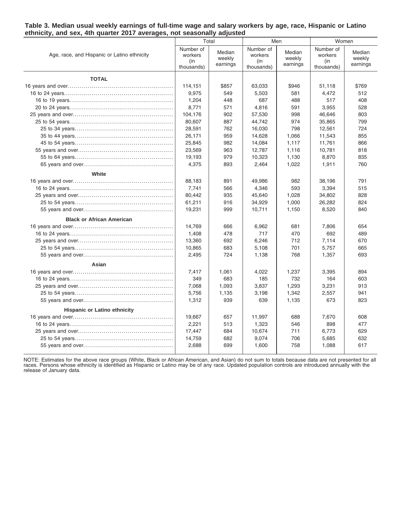#### **Table 3. Median usual weekly earnings of full-time wage and salary workers by age, race, Hispanic or Latino ethnicity, and sex, 4th quarter 2017 averages, not seasonally adjusted**

|                                             | Total                                     |                              | Men                                       |                              |                                           | Women                        |  |
|---------------------------------------------|-------------------------------------------|------------------------------|-------------------------------------------|------------------------------|-------------------------------------------|------------------------------|--|
| Age, race, and Hispanic or Latino ethnicity | Number of<br>workers<br>(in<br>thousands) | Median<br>weekly<br>earnings | Number of<br>workers<br>(in<br>thousands) | Median<br>weekly<br>earnings | Number of<br>workers<br>(in<br>thousands) | Median<br>weekly<br>earnings |  |
| <b>TOTAL</b>                                |                                           |                              |                                           |                              |                                           |                              |  |
|                                             | 114,151                                   | \$857                        | 63,033                                    | \$946                        | 51,118                                    | \$769                        |  |
|                                             | 9,975                                     | 549                          | 5,503                                     | 581                          | 4,472                                     | 512                          |  |
|                                             | 1,204                                     | 448                          | 687                                       | 488                          | 517                                       | 408                          |  |
|                                             | 8,771                                     | 571                          | 4,816                                     | 591                          | 3,955                                     | 528                          |  |
|                                             | 104,176                                   | 902                          | 57,530                                    | 998                          | 46,646                                    | 803                          |  |
|                                             | 80,607                                    | 887                          | 44,742                                    | 974                          | 35,865                                    | 799                          |  |
|                                             | 28,591                                    | 762                          | 16,030                                    | 798                          | 12,561                                    | 724                          |  |
|                                             | 26,171                                    | 959                          | 14,628                                    | 1,066                        | 11,543                                    | 855                          |  |
|                                             | 25,845                                    | 982                          | 14,084                                    | 1,117                        | 11,761                                    | 866                          |  |
|                                             | 23,569                                    | 963                          | 12,787                                    | 1,116                        | 10,781                                    | 818                          |  |
|                                             | 19,193                                    | 979                          | 10,323                                    | 1,130                        | 8,870                                     | 835                          |  |
|                                             | 4,375                                     | 893                          | 2,464                                     | 1,022                        | 1,911                                     | 760                          |  |
| White                                       |                                           |                              |                                           |                              |                                           |                              |  |
|                                             | 88,183                                    | 891                          | 49,986                                    | 982                          | 38,196                                    | 791                          |  |
|                                             | 7,741                                     | 566                          | 4,346                                     | 593                          | 3,394                                     | 515                          |  |
|                                             | 80,442                                    | 935                          | 45,640                                    | 1,028                        | 34,802                                    | 828                          |  |
|                                             | 61,211                                    | 916                          | 34,929                                    | 1,000                        | 26,282                                    | 824                          |  |
|                                             | 19,231                                    | 999                          | 10,711                                    | 1,150                        | 8,520                                     | 840                          |  |
| <b>Black or African American</b>            |                                           |                              |                                           |                              |                                           |                              |  |
|                                             | 14,769                                    | 666                          | 6,962                                     | 681                          | 7,806                                     | 654                          |  |
|                                             | 1,408                                     | 478                          | 717                                       | 470                          | 692                                       | 489                          |  |
|                                             | 13,360                                    | 692                          | 6,246                                     | 712                          | 7,114                                     | 670                          |  |
|                                             | 10,865                                    | 683                          | 5,108                                     | 701                          | 5,757                                     | 665                          |  |
|                                             | 2,495                                     | 724                          | 1,138                                     | 768                          | 1,357                                     | 693                          |  |
|                                             |                                           |                              |                                           |                              |                                           |                              |  |
| Asian                                       |                                           |                              |                                           |                              |                                           | 894                          |  |
|                                             | 7,417<br>349                              | 1,061<br>683                 | 4,022<br>185                              | 1,237<br>732                 | 3,395<br>164                              | 603                          |  |
|                                             | 7,068                                     | 1,093                        | 3,837                                     | 1,293                        | 3,231                                     | 913                          |  |
|                                             | 5,756                                     | 1,135                        | 3,198                                     | 1,342                        | 2,557                                     | 941                          |  |
|                                             | 1,312                                     | 939                          | 639                                       | 1,135                        | 673                                       | 823                          |  |
|                                             |                                           |                              |                                           |                              |                                           |                              |  |
| <b>Hispanic or Latino ethnicity</b>         |                                           |                              |                                           |                              |                                           |                              |  |
|                                             | 19,667                                    | 657                          | 11,997                                    | 688                          | 7,670                                     | 608                          |  |
|                                             | 2,221                                     | 513                          | 1,323                                     | 546                          | 898                                       | 477                          |  |
|                                             | 17,447                                    | 684                          | 10,674                                    | 711                          | 6,773                                     | 629                          |  |
|                                             | 14,759                                    | 682                          | 9,074                                     | 706                          | 5,685                                     | 632                          |  |
|                                             | 2,688                                     | 699                          | 1,600                                     | 758                          | 1,088                                     | 617                          |  |

NOTE: Estimates for the above race groups (White, Black or African American, and Asian) do not sum to totals because data are not presented for all races. Persons whose ethnicity is identified as Hispanic or Latino may be of any race. Updated population controls are introduced annually with the release of January data.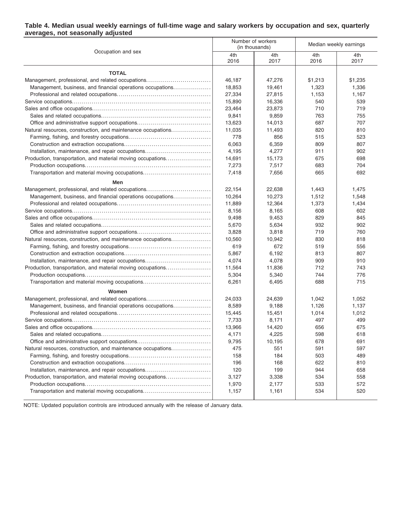#### **Table 4. Median usual weekly earnings of full-time wage and salary workers by occupation and sex, quarterly averages, not seasonally adjusted**

|                                                              |             | Number of workers<br>(in thousands) | Median weekly earnings |             |  |
|--------------------------------------------------------------|-------------|-------------------------------------|------------------------|-------------|--|
| Occupation and sex                                           | 4th<br>2016 | 4th<br>2017                         | 4th<br>2016            | 4th<br>2017 |  |
| <b>TOTAL</b>                                                 |             |                                     |                        |             |  |
| Management, professional, and related occupations            | 46,187      | 47,276                              | \$1,213                | \$1,235     |  |
| Management, business, and financial operations occupations   | 18,853      | 19,461                              | 1,323                  | 1,336       |  |
|                                                              | 27,334      | 27,815                              | 1,153                  | 1,167       |  |
|                                                              | 15,890      | 16,336                              | 540                    | 539         |  |
|                                                              | 23,464      | 23,873                              | 710                    | 719         |  |
|                                                              | 9,841       | 9,859                               | 763                    | 755         |  |
|                                                              | 13,623      | 14,013                              | 687                    | 707         |  |
| Natural resources, construction, and maintenance occupations | 11,035      | 11,493                              | 820                    | 810         |  |
|                                                              | 778         | 856                                 | 515                    | 523         |  |
|                                                              | 6,063       | 6,359                               | 809                    | 807         |  |
| Installation, maintenance, and repair occupations            | 4,195       | 4,277                               | 911                    | 902         |  |
| Production, transportation, and material moving occupations  | 14,691      | 15,173                              | 675                    | 698         |  |
|                                                              | 7,273       | 7,517                               | 683                    | 704         |  |
| Transportation and material moving occupations               | 7,418       | 7,656                               | 665                    | 692         |  |
| Men                                                          |             |                                     |                        |             |  |
| Management, professional, and related occupations            | 22,154      | 22,638                              | 1,443                  | 1,475       |  |
| Management, business, and financial operations occupations   | 10,264      | 10,273                              | 1,512                  | 1,548       |  |
|                                                              | 11,889      | 12,364                              | 1,373                  | 1,434       |  |
|                                                              | 8,156       | 8,165                               | 608                    | 602         |  |
|                                                              | 9,498       | 9,453                               | 829                    | 845         |  |
|                                                              | 5,670       | 5,634                               | 932                    | 902         |  |
|                                                              | 3,828       | 3,818                               | 719                    | 760         |  |
| Natural resources, construction, and maintenance occupations | 10,560      | 10,942                              | 830                    | 818         |  |
|                                                              | 619         | 672                                 | 519                    | 556         |  |
|                                                              | 5,867       | 6,192                               | 813                    | 807         |  |
| Installation, maintenance, and repair occupations            | 4,074       | 4,078                               | 909                    | 910         |  |
| Production, transportation, and material moving occupations  | 11,564      | 11,836                              | 712                    | 743         |  |
|                                                              | 5,304       | 5,340                               | 744                    | 776         |  |
| Transportation and material moving occupations               | 6,261       | 6,495                               | 688                    | 715         |  |
| Women                                                        |             |                                     |                        |             |  |
| Management, professional, and related occupations            | 24,033      | 24,639                              | 1,042                  | 1,052       |  |
| Management, business, and financial operations occupations   | 8,589       | 9,188                               | 1,126                  | 1,137       |  |
|                                                              | 15,445      | 15,451                              | 1,014                  | 1,012       |  |
|                                                              | 7,733       | 8,171                               | 497                    | 499         |  |
|                                                              | 13,966      | 14,420                              | 656                    | 675         |  |
|                                                              | 4,171       | 4,225                               | 598                    | 618         |  |
|                                                              | 9,795       | 10,195                              | 678                    | 691         |  |
| Natural resources, construction, and maintenance occupations | 475         | 551                                 | 591                    | 597         |  |
|                                                              | 158         | 184                                 | 503                    | 489         |  |
|                                                              | 196         | 168                                 | 622                    | 810         |  |
| Installation, maintenance, and repair occupations            | 120         | 199                                 | 944                    | 658         |  |
| Production, transportation, and material moving occupations  | 3,127       | 3,338                               | 534                    | 558         |  |
|                                                              | 1,970       | 2,177                               | 533                    | 572         |  |
| Transportation and material moving occupations               | 1,157       | 1,161                               | 534                    | 520         |  |

NOTE: Updated population controls are introduced annually with the release of January data.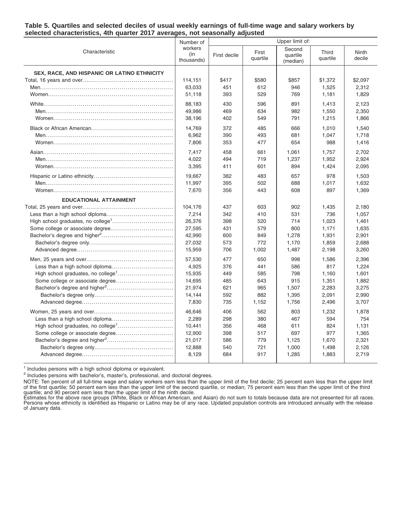| Table 5. Quartiles and selected deciles of usual weekly earnings of full-time wage and salary workers by |  |  |  |
|----------------------------------------------------------------------------------------------------------|--|--|--|
| selected characteristics, 4th quarter 2017 averages, not seasonally adjusted                             |  |  |  |

|                                                    | Number of                    | Upper limit of: |                   |                                |                   |                 |
|----------------------------------------------------|------------------------------|-----------------|-------------------|--------------------------------|-------------------|-----------------|
| Characteristic                                     | workers<br>(in<br>thousands) | First decile    | First<br>quartile | Second<br>quartile<br>(median) | Third<br>quartile | Ninth<br>decile |
| <b>SEX, RACE, AND HISPANIC OR LATINO ETHNICITY</b> |                              |                 |                   |                                |                   |                 |
|                                                    | 114,151                      | \$417           | \$580             | \$857                          | \$1,372           | \$2,097         |
|                                                    | 63,033                       | 451             | 612               | 946                            | 1,525             | 2,312           |
|                                                    | 51,118                       | 393             | 529               | 769                            | 1,181             | 1,829           |
|                                                    | 88,183                       | 430             | 596               | 891                            | 1,413             | 2,123           |
|                                                    | 49,986                       | 469             | 634               | 982                            | 1,550             | 2,350           |
|                                                    | 38,196                       | 402             | 549               | 791                            | 1,215             | 1,866           |
|                                                    | 14,769                       | 372             | 485               | 666                            | 1,010             | 1,540           |
|                                                    | 6,962                        | 390             | 493               | 681                            | 1,047             | 1,718           |
|                                                    | 7,806                        | 353             | 477               | 654                            | 988               | 1,416           |
|                                                    | 7,417                        | 458             | 661               | 1,061                          | 1,757             | 2,702           |
|                                                    | 4,022                        | 494             | 719               | 1,237                          | 1,952             | 2,924           |
|                                                    | 3,395                        | 411             | 601               | 894                            | 1,424             | 2,095           |
|                                                    | 19,667                       | 382             | 483               | 657                            | 978               | 1,503           |
|                                                    | 11,997                       | 395             | 502               | 688                            | 1,017             | 1,632           |
|                                                    | 7,670                        | 356             | 443               | 608                            | 897               | 1,369           |
| <b>EDUCATIONAL ATTAINMENT</b>                      |                              |                 |                   |                                |                   |                 |
|                                                    | 104,176                      | 437             | 603               | 902                            | 1,435             | 2,180           |
|                                                    | 7,214                        | 342             | 410               | 531                            | 736               | 1,057           |
|                                                    | 26,376                       | 398             | 520               | 714                            | 1,023             | 1,461           |
|                                                    | 27,595                       | 431             | 579               | 800                            | 1,171             | 1,635           |
|                                                    | 42,990                       | 600             | 849               | 1,278                          | 1,931             | 2,901           |
|                                                    | 27,032                       | 573             | 772               | 1,170                          | 1,859             | 2,688           |
|                                                    | 15,959                       | 706             | 1,002             | 1,487                          | 2,198             | 3,260           |
|                                                    | 57,530                       | 477             | 650               | 998                            | 1,586             | 2,396           |
|                                                    | 4,925                        | 376             | 441               | 586                            | 817               | 1,224           |
|                                                    | 15,935                       | 449             | 585               | 798                            | 1,160             | 1,601           |
| Some college or associate degree                   | 14,695                       | 485             | 643               | 915                            | 1,351             | 1,882           |
|                                                    | 21,974                       | 621             | 965               | 1,507                          | 2,283             | 3,275           |
|                                                    | 14,144                       | 592             | 882               | 1,395                          | 2,091             | 2,990           |
|                                                    | 7,830                        | 735             | 1,152             | 1,756                          | 2,496             | 3,707           |
|                                                    | 46,646                       | 406             | 562               | 803                            | 1,232             | 1,878           |
|                                                    | 2,289                        | 298             | 380               | 467                            | 594               | 754             |
|                                                    | 10,441                       | 356             | 468               | 611                            | 824               | 1,131           |
|                                                    | 12,900                       | 398             | 517               | 697                            | 977               | 1,365           |
|                                                    | 21,017                       | 586             | 779               | 1,125                          | 1,670             | 2,321           |
|                                                    | 12,888                       | 540             | 721               | 1,000                          | 1,498             | 2,126           |
|                                                    | 8,129                        | 684             | 917               | 1,285                          | 1,883             | 2,719           |

<sup>1</sup> Includes persons with a high school diploma or equivalent.

<sup>2</sup> Includes persons with bachelor's, master's, professional, and doctoral degrees.

NOTE: Ten percent of all full-time wage and salary workers earn less than the upper limit of the first decile; 25 percent earn less than the upper limit<br>of the first quartile; 50 percent earn less than the upper limit of t

of January data.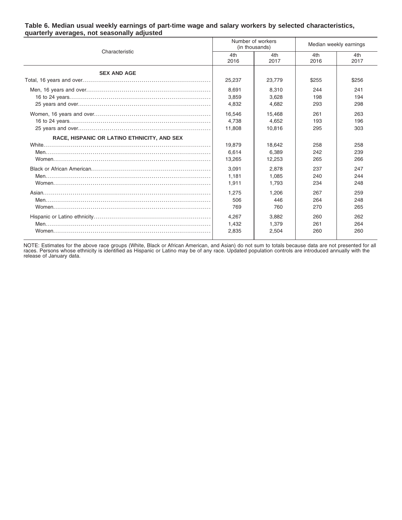|                                             |             | Number of workers<br>(in thousands) | Median weekly earnings |             |  |
|---------------------------------------------|-------------|-------------------------------------|------------------------|-------------|--|
| Characteristic                              | 4th<br>2016 | 4th<br>2017                         | 4th<br>2016            | 4th<br>2017 |  |
| <b>SEX AND AGE</b>                          |             |                                     |                        |             |  |
|                                             | 25,237      | 23.779                              | \$255                  | \$256       |  |
|                                             | 8.691       | 8.310                               | 244                    | 241         |  |
|                                             | 3,859       | 3,628                               | 198                    | 194         |  |
|                                             | 4,832       | 4,682                               | 293                    | 298         |  |
|                                             | 16,546      | 15,468                              | 261                    | 263         |  |
|                                             | 4.738       | 4,652                               | 193                    | 196         |  |
|                                             | 11.808      | 10.816                              | 295                    | 303         |  |
| RACE, HISPANIC OR LATINO ETHNICITY, AND SEX |             |                                     |                        |             |  |
|                                             | 19,879      | 18,642                              | 258                    | 258         |  |
|                                             | 6.614       | 6.389                               | 242                    | 239         |  |
|                                             | 13,265      | 12,253                              | 265                    | 266         |  |
|                                             | 3,091       | 2,878                               | 237                    | 247         |  |
|                                             | 1.181       | 1.085                               | 240                    | 244         |  |
|                                             | 1,911       | 1,793                               | 234                    | 248         |  |
|                                             | 1.275       | 1.206                               | 267                    | 259         |  |
|                                             | 506         | 446                                 | 264                    | 248         |  |
|                                             | 769         | 760                                 | 270                    | 265         |  |
|                                             | 4.267       | 3,882                               | 260                    | 262         |  |
|                                             | 1,432       | 1,379                               | 261                    | 264         |  |
|                                             | 2,835       | 2,504                               | 260                    | 260         |  |

#### **Table 6. Median usual weekly earnings of part-time wage and salary workers by selected characteristics, quarterly averages, not seasonally adjusted**

NOTE: Estimates for the above race groups (White, Black or African American, and Asian) do not sum to totals because data are not presented for all<br>races. Persons whose ethnicity is identified as Hispanic or Latino may be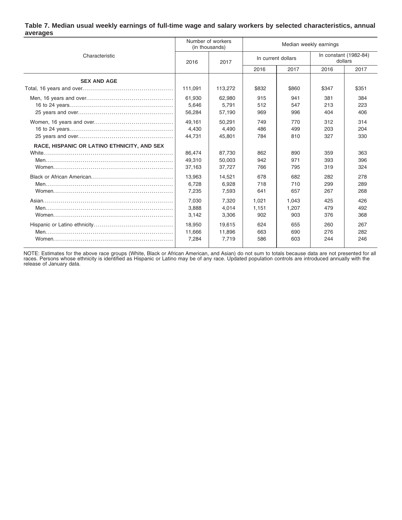#### **Table 7. Median usual weekly earnings of full-time wage and salary workers by selected characteristics, annual averages**

|                                             | Number of workers<br>(in thousands) |                            | Median weekly earnings |                       |                   |                                  |
|---------------------------------------------|-------------------------------------|----------------------------|------------------------|-----------------------|-------------------|----------------------------------|
| Characteristic                              | 2016                                | 2017                       | In current dollars     |                       |                   | In constant (1982-84)<br>dollars |
|                                             |                                     |                            | 2016                   | 2017                  | 2016              | 2017                             |
| <b>SEX AND AGE</b>                          |                                     |                            |                        |                       |                   |                                  |
|                                             | 111,091                             | 113,272                    | \$832                  | \$860                 | \$347             | \$351                            |
|                                             | 61,930<br>5,646<br>56,284           | 62,980<br>5,791<br>57,190  | 915<br>512<br>969      | 941<br>547<br>996     | 381<br>213<br>404 | 384<br>223<br>406                |
|                                             | 49.161<br>4.430<br>44,731           | 50,291<br>4.490<br>45,801  | 749<br>486<br>784      | 770<br>499<br>810     | 312<br>203<br>327 | 314<br>204<br>330                |
| RACE, HISPANIC OR LATINO ETHNICITY, AND SEX | 86,474<br>49.310<br>37,163          | 87,730<br>50,003<br>37,727 | 862<br>942<br>766      | 890<br>971<br>795     | 359<br>393<br>319 | 363<br>396<br>324                |
|                                             | 13.963<br>6.728<br>7,235            | 14,521<br>6.928<br>7,593   | 678<br>718<br>641      | 682<br>710<br>657     | 282<br>299<br>267 | 278<br>289<br>268                |
|                                             | 7,030<br>3,888<br>3,142             | 7,320<br>4,014<br>3,306    | 1,021<br>1,151<br>902  | 1.043<br>1,207<br>903 | 425<br>479<br>376 | 426<br>492<br>368                |
|                                             | 18,950<br>11.666<br>7,284           | 19.615<br>11,896<br>7.719  | 624<br>663<br>586      | 655<br>690<br>603     | 260<br>276<br>244 | 267<br>282<br>246                |

NOTE: Estimates for the above race groups (White, Black or African American, and Asian) do not sum to totals because data are not presented for all<br>races. Persons whose ethnicity is identified as Hispanic or Latino may be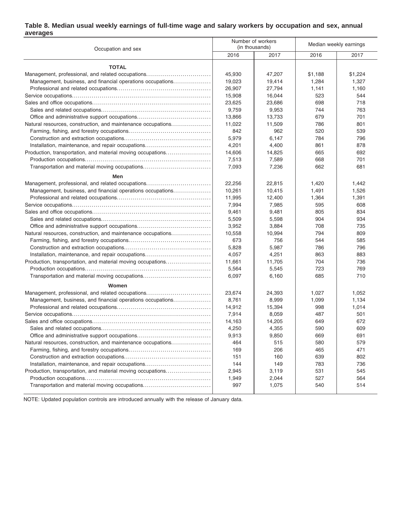### **Table 8. Median usual weekly earnings of full-time wage and salary workers by occupation and sex, annual averages**

| Occupation and sex                                           |        | Number of workers<br>(in thousands) | Median weekly earnings |         |  |
|--------------------------------------------------------------|--------|-------------------------------------|------------------------|---------|--|
|                                                              | 2016   | 2017                                | 2016                   | 2017    |  |
| <b>TOTAL</b>                                                 |        |                                     |                        |         |  |
| Management, professional, and related occupations            | 45,930 | 47,207                              | \$1,188                | \$1,224 |  |
| Management, business, and financial operations occupations   | 19,023 | 19,414                              | 1,284                  | 1,327   |  |
|                                                              | 26,907 | 27,794                              | 1,141                  | 1,160   |  |
|                                                              | 15,908 | 16,044                              | 523                    | 544     |  |
|                                                              | 23,625 | 23,686                              | 698                    | 718     |  |
|                                                              | 9,759  | 9,953                               | 744                    | 763     |  |
|                                                              | 13,866 | 13,733                              | 679                    | 701     |  |
| Natural resources, construction, and maintenance occupations | 11,022 | 11,509                              | 786                    | 801     |  |
|                                                              | 842    | 962                                 | 520                    | 539     |  |
|                                                              | 5,979  | 6,147                               | 784                    | 796     |  |
| Installation, maintenance, and repair occupations            | 4,201  | 4,400                               | 861                    | 878     |  |
| Production, transportation, and material moving occupations  | 14,606 | 14,825                              | 665                    | 692     |  |
|                                                              | 7,513  | 7,589                               | 668                    | 701     |  |
| Transportation and material moving occupations               | 7,093  | 7,236                               | 662                    | 681     |  |
| Men                                                          |        |                                     |                        |         |  |
| Management, professional, and related occupations            | 22,256 | 22,815                              | 1,420                  | 1,442   |  |
| Management, business, and financial operations occupations   | 10,261 | 10,415                              | 1,491                  | 1,526   |  |
|                                                              | 11,995 | 12,400                              | 1,364                  | 1,391   |  |
|                                                              | 7,994  | 7,985                               | 595                    | 608     |  |
|                                                              | 9,461  | 9,481                               | 805                    | 834     |  |
|                                                              | 5,509  | 5,598                               | 904                    | 934     |  |
|                                                              | 3,952  | 3,884                               | 708                    | 735     |  |
| Natural resources, construction, and maintenance occupations | 10,558 | 10,994                              | 794                    | 809     |  |
|                                                              | 673    | 756                                 | 544                    | 585     |  |
|                                                              | 5,828  | 5,987                               | 786                    | 796     |  |
| Installation, maintenance, and repair occupations            | 4,057  | 4,251                               | 863                    | 883     |  |
| Production, transportation, and material moving occupations  | 11,661 | 11,705                              | 704                    | 736     |  |
|                                                              | 5,564  | 5,545                               | 723                    | 769     |  |
| Transportation and material moving occupations               | 6,097  | 6,160                               | 685                    | 710     |  |
| Women                                                        |        |                                     |                        |         |  |
| Management, professional, and related occupations            | 23,674 | 24,393                              | 1,027                  | 1,052   |  |
| Management, business, and financial operations occupations   | 8,761  | 8,999                               | 1,099                  | 1,134   |  |
|                                                              | 14,912 | 15,394                              | 998                    | 1,014   |  |
|                                                              | 7,914  | 8,059                               | 487                    | 501     |  |
|                                                              | 14,163 | 14,205                              | 649                    | 672     |  |
|                                                              | 4,250  | 4,355                               | 590                    | 609     |  |
|                                                              | 9,913  | 9,850                               | 669                    | 691     |  |
| Natural resources, construction, and maintenance occupations | 464    | 515                                 | 580                    | 579     |  |
|                                                              | 169    | 206                                 | 465                    | 471     |  |
|                                                              | 151    | 160                                 | 639                    | 802     |  |
| Installation, maintenance, and repair occupations            | 144    | 149                                 | 783                    | 736     |  |
| Production, transportation, and material moving occupations  | 2,945  | 3,119                               | 531                    | 545     |  |
|                                                              | 1,949  | 2,044                               | 527                    | 564     |  |
| Transportation and material moving occupations               | 997    | 1,075                               | 540                    | 514     |  |
|                                                              |        |                                     |                        |         |  |

NOTE: Updated population controls are introduced annually with the release of January data.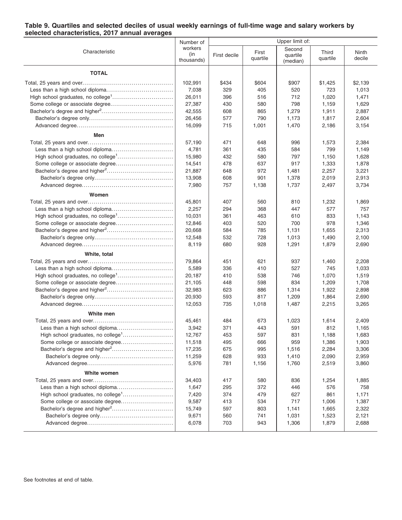#### **Table 9. Quartiles and selected deciles of usual weekly earnings of full-time wage and salary workers by selected characteristics, 2017 annual averages**

|                                                | Number of  | Upper limit of: |          |          |          |         |
|------------------------------------------------|------------|-----------------|----------|----------|----------|---------|
| Characteristic                                 | workers    |                 | First    | Second   | Third    | Ninth   |
|                                                | (in        | First decile    | quartile | quartile | quartile | decile  |
|                                                | thousands) |                 |          | (median) |          |         |
| <b>TOTAL</b>                                   |            |                 |          |          |          |         |
|                                                |            |                 |          |          |          |         |
|                                                | 102,991    | \$434           | \$604    | \$907    | \$1,425  | \$2,139 |
|                                                | 7,038      | 329             | 405      | 520      | 723      | 1,013   |
|                                                | 26,011     | 396             | 516      | 712      | 1,020    | 1,471   |
|                                                | 27,387     | 430             | 580      | 798      | 1,159    | 1,629   |
|                                                | 42,555     | 608             | 865      | 1,279    | 1,911    | 2,887   |
|                                                | 26,456     | 577             | 790      | 1,173    | 1,817    | 2,604   |
|                                                | 16,099     | 715             | 1,001    | 1,470    | 2,186    | 3,154   |
| Men                                            |            |                 |          |          |          |         |
|                                                | 57,190     | 471             | 648      | 996      | 1,573    | 2,384   |
|                                                | 4,781      | 361             | 435      | 584      | 799      | 1,149   |
|                                                | 15,980     | 432             | 580      | 797      | 1,150    | 1,628   |
|                                                | 14,541     | 478             | 637      | 917      | 1,333    | 1,878   |
|                                                | 21,887     | 648             | 972      | 1,481    | 2,257    | 3,221   |
|                                                | 13,908     | 608             | 901      | 1,378    | 2,019    | 2,913   |
|                                                | 7,980      | 757             | 1,138    | 1,737    | 2,497    | 3,734   |
| Women                                          |            |                 |          |          |          |         |
|                                                | 45,801     | 407             | 560      | 810      | 1,232    | 1,869   |
|                                                | 2,257      | 294             | 368      | 447      | 577      | 757     |
|                                                | 10,031     | 361             | 463      | 610      | 833      | 1.143   |
|                                                | 12,846     | 403             | 520      | 700      | 978      | 1,346   |
|                                                | 20,668     | 584             | 785      | 1,131    | 1,655    | 2,313   |
|                                                | 12,548     | 532             | 728      | 1,013    | 1,490    | 2,100   |
|                                                | 8,119      | 680             | 928      | 1,291    | 1,879    | 2,690   |
|                                                |            |                 |          |          |          |         |
| White, total                                   |            |                 |          |          |          |         |
|                                                | 79,864     | 451             | 621      | 937      | 1,460    | 2,208   |
|                                                | 5,589      | 336             | 410      | 527      | 745      | 1,033   |
|                                                | 20,187     | 410             | 538      | 746      | 1,070    | 1,519   |
|                                                | 21,105     | 448             | 598      | 834      | 1,209    | 1,708   |
|                                                | 32,983     | 623             | 886      | 1,314    | 1,922    | 2,898   |
|                                                | 20,930     | 593             | 817      | 1,209    | 1,864    | 2,690   |
|                                                | 12,053     | 735             | 1,018    | 1,487    | 2,215    | 3,265   |
| White men                                      |            |                 |          |          |          |         |
|                                                | 45,461     | 484             | 673      | 1,023    | 1,614    | 2,409   |
|                                                | 3,942      | 371             | 443      | 591      | 812      | 1,165   |
| High school graduates, no college <sup>1</sup> | 12,767     | 453             | 597      | 831      | 1,188    | 1,683   |
|                                                | 11,518     | 495             | 666      | 959      | 1,386    | 1,903   |
|                                                | 17,235     | 675             | 995      | 1,516    | 2,284    | 3,306   |
|                                                | 11,259     | 628             | 933      | 1,410    | 2,090    | 2,959   |
|                                                | 5,976      | 781             | 1,156    | 1,760    | 2,519    | 3,860   |
| White women                                    |            |                 |          |          |          |         |
|                                                | 34,403     | 417             | 580      | 836      | 1,254    | 1,885   |
| Less than a high school diploma                | 1,647      | 295             | 372      | 446      | 576      | 758     |
| High school graduates, no college <sup>1</sup> | 7,420      | 374             | 479      | 627      | 861      | 1,171   |
| Some college or associate degree               | 9,587      | 413             | 534      | 717      | 1,006    | 1,387   |
|                                                | 15,749     | 597             | 803      | 1,141    | 1,665    | 2,322   |
|                                                | 9,671      | 560             | 741      | 1,031    | 1,523    | 2,121   |
|                                                | 6,078      | 703             | 943      | 1,306    | 1,879    | 2,688   |
|                                                |            |                 |          |          |          |         |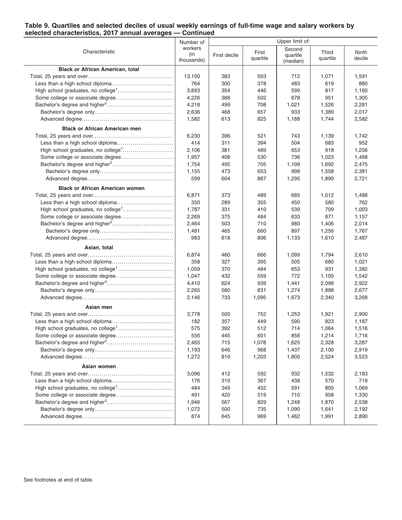#### **Table 9. Quartiles and selected deciles of usual weekly earnings of full-time wage and salary workers by selected characteristics, 2017 annual averages — Continued**

|                                                | Number of         | Upper limit of: |          |          |          |        |
|------------------------------------------------|-------------------|-----------------|----------|----------|----------|--------|
| Characteristic                                 | workers           |                 | First    | Second   | Third    | Ninth  |
|                                                | (in<br>thousands) | First decile    | quartile | quartile | quartile | decile |
|                                                |                   |                 |          | (median) |          |        |
| <b>Black or African American, total</b>        |                   |                 |          |          |          |        |
|                                                | 13,100            | 383             | 503      | 712      | 1,071    | 1,591  |
|                                                | 764               | 300             | 378      | 483      | 619      | 880    |
|                                                | 3,893             | 354             | 446      | 599      | 817      | 1,160  |
|                                                | 4,226             | 388             | 502      | 678      | 951      | 1,305  |
|                                                | 4,218             | 499             | 708      | 1,021    | 1,526    | 2,281  |
|                                                | 2,636             | 468             | 657      | 933      | 1,389    | 2,017  |
|                                                | 1,582             | 613             | 825      | 1,188    | 1,744    | 2,582  |
| <b>Black or African American men</b>           |                   |                 |          |          |          |        |
|                                                | 6,230             | 396             | 521      | 743      | 1,139    | 1,742  |
|                                                | 414               | 311             | 394      | 504      | 683      | 952    |
| High school graduates, no college <sup>1</sup> | 2,106             | 381             | 489      | 653      | 918      | 1,256  |
| Some college or associate degree               | 1,957             | 408             | 530      | 736      | 1,023    | 1,468  |
|                                                | 1,754             | 495             | 705      | 1,109    | 1,692    | 2,475  |
|                                                | 1,155             | 473             | 653      | 998      | 1,558    | 2,381  |
|                                                | 599               | 604             | 867      | 1,295    | 1,890    | 2,721  |
| <b>Black or African American women</b>         |                   |                 |          |          |          |        |
|                                                | 6,871             | 373             | 489      | 685      | 1,012    | 1,488  |
|                                                | 350               | 289             | 355      | 450      | 580      | 762    |
|                                                | 1,787             | 331             | 410      | 539      | 709      | 1,003  |
|                                                | 2,269             | 375             | 484      | 633      | 871      | 1,157  |
|                                                | 2,464             | 503             | 710      | 980      | 1,406    | 2,014  |
|                                                | 1,481             | 465             | 660      | 897      | 1,256    | 1,767  |
|                                                | 983               | 618             | 806      | 1,133    | 1,610    | 2,487  |
|                                                |                   |                 |          |          |          |        |
| Asian, total                                   |                   |                 |          |          |          |        |
|                                                | 6,874             | 460             | 666      | 1,099    | 1,794    | 2,610  |
|                                                | 358               | 327             | 395      | 505      | 680      | 1,021  |
|                                                | 1,059             | 370             | 484      | 653      | 931      | 1,382  |
|                                                | 1,047             | 432             | 559      | 772      | 1,105    | 1,542  |
|                                                | 4,410             | 624             | 939      | 1,441    | 2,098    | 2,922  |
|                                                | 2,265             | 580             | 831      | 1,274    | 1,888    | 2,677  |
|                                                | 2,146             | 733             | 1,095    | 1,673    | 2,340    | 3,268  |
| Asian men                                      |                   |                 |          |          |          |        |
|                                                | 3,778             | 500             | 752      | 1,253    | 1,921    | 2,900  |
|                                                | 182               | 357             | 449      | 590      | 823      | 1,187  |
|                                                | 575               | 392             | 512      | 714      | 1,064    | 1,516  |
|                                                | 556               | 445             | 601      | 856      | 1,214    | 1,716  |
|                                                | 2,465             | 715             | 1,078    | 1,625    | 2,328    | 3,287  |
|                                                | 1,193             | 646             | 968      | 1,437    | 2,100    | 2,919  |
|                                                | 1,272             | 810             | 1,203    | 1,800    | 2,524    | 3,523  |
| Asian women                                    |                   |                 |          |          |          |        |
|                                                | 3,096             | 412             | 592      | 932      | 1,532    | 2,183  |
|                                                | 176               | 310             | 367      | 438      | 570      | 719    |
|                                                | 484               | 349             | 452      | 591      | 805      | 1,069  |
|                                                | 491               | 420             | 519      | 710      | 958      | 1,330  |
|                                                | 1,946             | 567             | 829      | 1,248    | 1,870    | 2,538  |
|                                                | 1,072             | 500             | 735      | 1,090    | 1,641    | 2,192  |
|                                                | 874               | 645             | 969      | 1,462    | 1,991    | 2,890  |
|                                                |                   |                 |          |          |          |        |